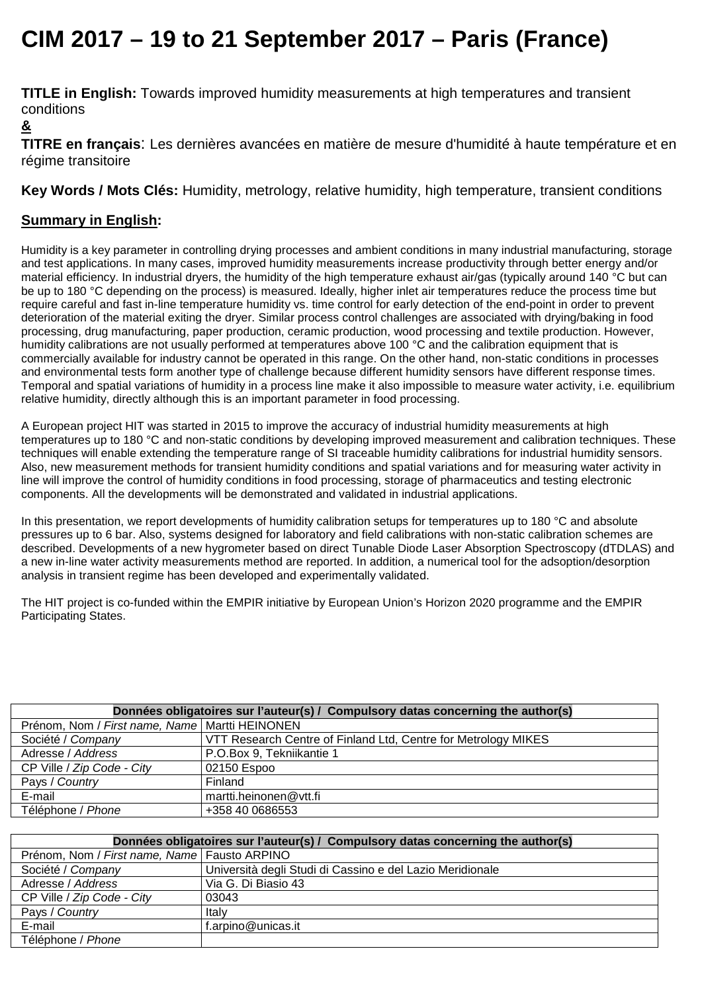## **CIM 2017 – 19 to 21 September 2017 – Paris (France)**

**TITLE in English:** Towards improved humidity measurements at high temperatures and transient conditions

## **&**

**TITRE en français**: Les dernières avancées en matière de mesure d'humidité à haute température et en régime transitoire

**Key Words / Mots Clés:** Humidity, metrology, relative humidity, high temperature, transient conditions

## **Summary in English:**

Humidity is a key parameter in controlling drying processes and ambient conditions in many industrial manufacturing, storage and test applications. In many cases, improved humidity measurements increase productivity through better energy and/or material efficiency. In industrial dryers, the humidity of the high temperature exhaust air/gas (typically around 140 °C but can be up to 180 °C depending on the process) is measured. Ideally, higher inlet air temperatures reduce the process time but require careful and fast in-line temperature humidity vs. time control for early detection of the end-point in order to prevent deterioration of the material exiting the dryer. Similar process control challenges are associated with drying/baking in food processing, drug manufacturing, paper production, ceramic production, wood processing and textile production. However, humidity calibrations are not usually performed at temperatures above 100 °C and the calibration equipment that is commercially available for industry cannot be operated in this range. On the other hand, non-static conditions in processes and environmental tests form another type of challenge because different humidity sensors have different response times. Temporal and spatial variations of humidity in a process line make it also impossible to measure water activity, i.e. equilibrium relative humidity, directly although this is an important parameter in food processing.

A European project HIT was started in 2015 to improve the accuracy of industrial humidity measurements at high temperatures up to 180 °C and non-static conditions by developing improved measurement and calibration techniques. These techniques will enable extending the temperature range of SI traceable humidity calibrations for industrial humidity sensors. Also, new measurement methods for transient humidity conditions and spatial variations and for measuring water activity in line will improve the control of humidity conditions in food processing, storage of pharmaceutics and testing electronic components. All the developments will be demonstrated and validated in industrial applications.

In this presentation, we report developments of humidity calibration setups for temperatures up to 180 °C and absolute pressures up to 6 bar. Also, systems designed for laboratory and field calibrations with non-static calibration schemes are described. Developments of a new hygrometer based on direct Tunable Diode Laser Absorption Spectroscopy (dTDLAS) and a new in-line water activity measurements method are reported. In addition, a numerical tool for the adsoption/desorption analysis in transient regime has been developed and experimentally validated.

The HIT project is co-funded within the EMPIR initiative by European Union's Horizon 2020 programme and the EMPIR Participating States.

| Données obligatoires sur l'auteur(s) / Compulsory datas concerning the author(s) |                                                                |  |
|----------------------------------------------------------------------------------|----------------------------------------------------------------|--|
| Prénom, Nom / First name, Name   Martti HEINONEN                                 |                                                                |  |
| Société / Company                                                                | VTT Research Centre of Finland Ltd, Centre for Metrology MIKES |  |
| Adresse / Address                                                                | P.O.Box 9, Tekniikantie 1                                      |  |
| CP Ville / Zip Code - City                                                       | 02150 Espoo                                                    |  |
| Pays / Country                                                                   | Finland                                                        |  |
| E-mail                                                                           | martti.heinonen@vtt.fi                                         |  |
| Téléphone / Phone                                                                | +358 40 0686553                                                |  |

| Données obligatoires sur l'auteur(s) / Compulsory datas concerning the author(s) |                                                           |
|----------------------------------------------------------------------------------|-----------------------------------------------------------|
| Prénom, Nom / First name, Name   Fausto ARPINO                                   |                                                           |
| Société / Company                                                                | Università degli Studi di Cassino e del Lazio Meridionale |
| Adresse / Address                                                                | Via G. Di Biasio 43                                       |
| CP Ville / Zip Code - City                                                       | 03043                                                     |
| Pays / Country                                                                   | Italy                                                     |
| E-mail                                                                           | f.arpino@unicas.it                                        |
| Téléphone / Phone                                                                |                                                           |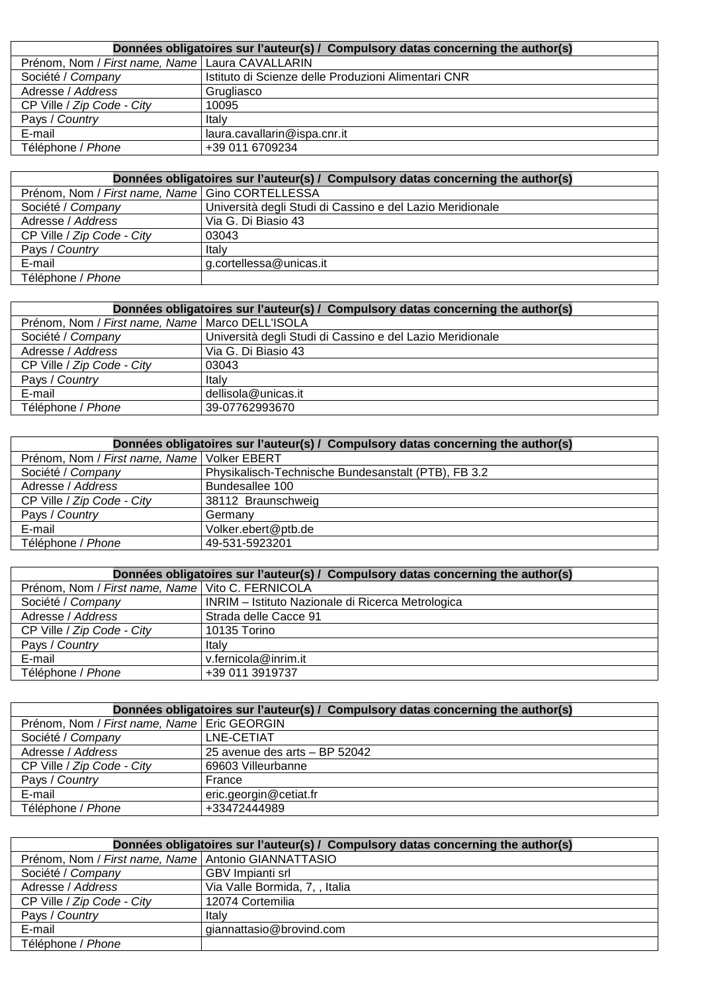| Données obligatoires sur l'auteur(s) / Compulsory datas concerning the author(s) |                                                     |
|----------------------------------------------------------------------------------|-----------------------------------------------------|
| Prénom, Nom / First name, Name   Laura CAVALLARIN                                |                                                     |
| Société / Company                                                                | Istituto di Scienze delle Produzioni Alimentari CNR |
| Adresse / Address                                                                | Grugliasco                                          |
| CP Ville / Zip Code - City                                                       | 10095                                               |
| Pays / Country                                                                   | Italy                                               |
| E-mail                                                                           | laura.cavallarin@ispa.cnr.it                        |
| Téléphone / Phone                                                                | +39 011 6709234                                     |

| Données obligatoires sur l'auteur(s) / Compulsory datas concerning the author(s) |                                                           |
|----------------------------------------------------------------------------------|-----------------------------------------------------------|
| Prénom, Nom / First name, Name   Gino CORTELLESSA                                |                                                           |
| Société / Company                                                                | Università degli Studi di Cassino e del Lazio Meridionale |
| Adresse / Address                                                                | Via G. Di Biasio 43                                       |
| CP Ville / Zip Code - City                                                       | 03043                                                     |
| Pays / Country                                                                   | Italy                                                     |
| E-mail                                                                           | g.cortellessa@unicas.it                                   |
| Téléphone / Phone                                                                |                                                           |

| Données obligatoires sur l'auteur(s) / Compulsory datas concerning the author(s) |                                                           |
|----------------------------------------------------------------------------------|-----------------------------------------------------------|
| Prénom, Nom / First name, Name   Marco DELL'ISOLA                                |                                                           |
| Société / Company                                                                | Università degli Studi di Cassino e del Lazio Meridionale |
| Adresse / Address                                                                | Via G. Di Biasio 43                                       |
| CP Ville / Zip Code - City                                                       | 03043                                                     |
| Pays / Country                                                                   | Italy                                                     |
| E-mail                                                                           | dellisola@unicas.it                                       |
| Téléphone / Phone                                                                | 39-07762993670                                            |

| Données obligatoires sur l'auteur(s) / Compulsory datas concerning the author(s) |                                                     |
|----------------------------------------------------------------------------------|-----------------------------------------------------|
| Prénom, Nom / First name, Name   Volker EBERT                                    |                                                     |
| Société / Company                                                                | Physikalisch-Technische Bundesanstalt (PTB), FB 3.2 |
| Adresse / Address                                                                | Bundesallee 100                                     |
| CP Ville / Zip Code - City                                                       | 38112 Braunschweig                                  |
| Pays / Country                                                                   | Germany                                             |
| E-mail                                                                           | Volker.ebert@ptb.de                                 |
| Téléphone / Phone                                                                | 49-531-5923201                                      |

| Données obligatoires sur l'auteur(s) / Compulsory datas concerning the author(s) |                                                   |
|----------------------------------------------------------------------------------|---------------------------------------------------|
| Prénom, Nom / First name, Name   Vito C. FERNICOLA                               |                                                   |
| Société / Company                                                                | INRIM - Istituto Nazionale di Ricerca Metrologica |
| Adresse / Address                                                                | Strada delle Cacce 91                             |
| CP Ville / Zip Code - City                                                       | 10135 Torino                                      |
| Pays / Country                                                                   | Italy                                             |
| E-mail                                                                           | v.fernicola@inrim.it                              |
| Téléphone / Phone                                                                | +39 011 3919737                                   |

| Données obligatoires sur l'auteur(s) / Compulsory datas concerning the author(s) |                               |
|----------------------------------------------------------------------------------|-------------------------------|
| Prénom, Nom / First name, Name   Eric GEORGIN                                    |                               |
| Société / Company                                                                | LNE-CETIAT                    |
| Adresse / Address                                                                | 25 avenue des arts - BP 52042 |
| CP Ville / Zip Code - City                                                       | 69603 Villeurbanne            |
| Pays / Country                                                                   | France                        |
| E-mail                                                                           | eric.georgin@cetiat.fr        |
| Téléphone / Phone                                                                | +33472444989                  |

| Données obligatoires sur l'auteur(s) / Compulsory datas concerning the author(s) |                                |
|----------------------------------------------------------------------------------|--------------------------------|
| Prénom, Nom / First name, Name Antonio GIANNATTASIO                              |                                |
| Société / Company                                                                | GBV Impianti srl               |
| Adresse / Address                                                                | Via Valle Bormida, 7, , Italia |
| CP Ville / Zip Code - City                                                       | 12074 Cortemilia               |
| Pays / Country                                                                   | Italv                          |
| E-mail                                                                           | giannattasio@brovind.com       |
| Téléphone / Phone                                                                |                                |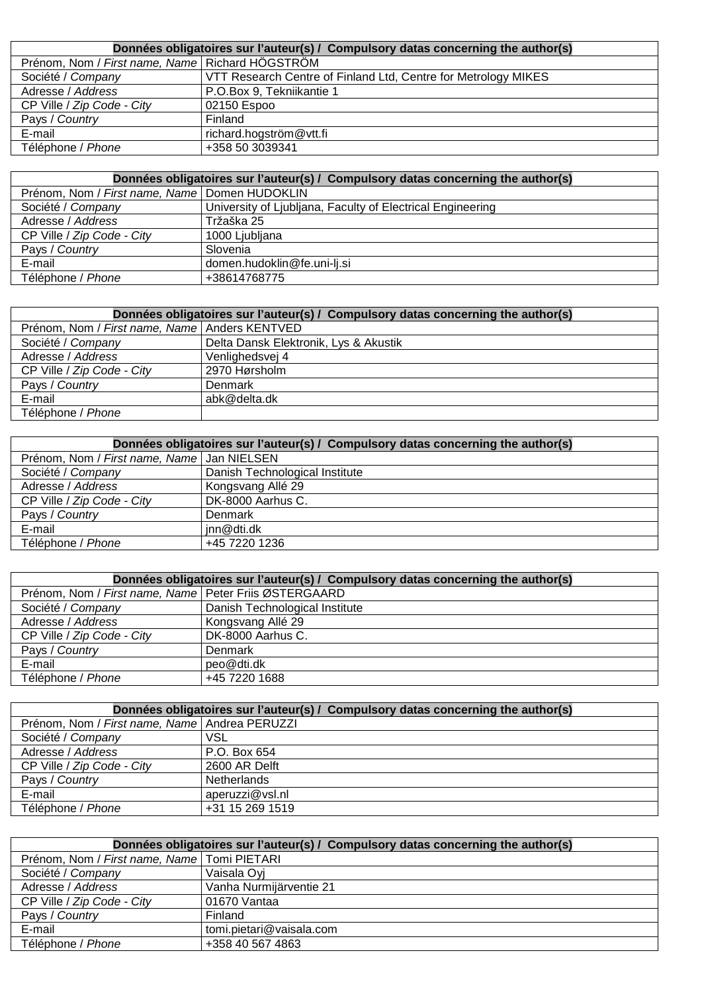| Données obligatoires sur l'auteur(s) / Compulsory datas concerning the author(s) |                                                                |
|----------------------------------------------------------------------------------|----------------------------------------------------------------|
| Prénom, Nom / First name, Name   Richard HÖGSTRÖM                                |                                                                |
| Société / Company                                                                | VTT Research Centre of Finland Ltd, Centre for Metrology MIKES |
| Adresse / Address                                                                | P.O.Box 9, Tekniikantie 1                                      |
| CP Ville / Zip Code - City                                                       | 02150 Espoo                                                    |
| Pays / Country                                                                   | Finland                                                        |
| E-mail                                                                           | richard.hogström@vtt.fi                                        |
| Téléphone / Phone                                                                | +358 50 3039341                                                |

| Données obligatoires sur l'auteur(s) / Compulsory datas concerning the author(s) |                                                            |
|----------------------------------------------------------------------------------|------------------------------------------------------------|
| Prénom, Nom / First name, Name   Domen HUDOKLIN                                  |                                                            |
| Société / Company                                                                | University of Ljubljana, Faculty of Electrical Engineering |
| Adresse / Address                                                                | Tržaška 25                                                 |
| CP Ville / Zip Code - City                                                       | 1000 Ljubljana                                             |
| Pays / Country                                                                   | Slovenia                                                   |
| E-mail                                                                           | domen.hudoklin@fe.uni-lj.si                                |
| Téléphone / Phone                                                                | +38614768775                                               |

| Données obligatoires sur l'auteur(s) / Compulsory datas concerning the author(s) |                                       |  |
|----------------------------------------------------------------------------------|---------------------------------------|--|
| Prénom, Nom / First name, Name   Anders KENTVED                                  |                                       |  |
| Société / Company                                                                | Delta Dansk Elektronik, Lys & Akustik |  |
| Adresse / Address                                                                | Venlighedsvej 4                       |  |
| CP Ville / Zip Code - City                                                       | 2970 Hørsholm                         |  |
| Pays / Country                                                                   | Denmark                               |  |
| E-mail                                                                           | abk@delta.dk                          |  |
| Téléphone / Phone                                                                |                                       |  |

| Données obligatoires sur l'auteur(s) / Compulsory datas concerning the author(s) |                                |
|----------------------------------------------------------------------------------|--------------------------------|
| Prénom, Nom / First name, Name   Jan NIELSEN                                     |                                |
| Société / Company                                                                | Danish Technological Institute |
| Adresse / Address                                                                | Kongsvang Allé 29              |
| CP Ville / Zip Code - City                                                       | DK-8000 Aarhus C.              |
| Pays / Country                                                                   | Denmark                        |
| E-mail                                                                           | inn@dti.dk                     |
| Téléphone / Phone                                                                | +45 7220 1236                  |

| Données obligatoires sur l'auteur(s) / Compulsory datas concerning the author(s) |                                |
|----------------------------------------------------------------------------------|--------------------------------|
| Prénom, Nom / First name, Name   Peter Friis ØSTERGAARD                          |                                |
| Société / Company                                                                | Danish Technological Institute |
| Adresse / Address                                                                | Kongsvang Allé 29              |
| CP Ville / Zip Code - City                                                       | DK-8000 Aarhus C.              |
| Pays / Country                                                                   | Denmark                        |
| E-mail                                                                           | peo@dti.dk                     |
| Téléphone / Phone                                                                | +45 7220 1688                  |

| Données obligatoires sur l'auteur(s) / Compulsory datas concerning the author(s) |                    |
|----------------------------------------------------------------------------------|--------------------|
| Prénom, Nom / First name, Name Andrea PERUZZI                                    |                    |
| Société / Company                                                                | VSL                |
| Adresse / Address                                                                | P.O. Box 654       |
| CP Ville / Zip Code - City                                                       | 2600 AR Delft      |
| Pays / Country                                                                   | <b>Netherlands</b> |
| E-mail                                                                           | aperuzzi@vsl.nl    |
| Téléphone / Phone                                                                | +31 15 269 1519    |

| Données obligatoires sur l'auteur(s) / Compulsory datas concerning the author(s) |                          |
|----------------------------------------------------------------------------------|--------------------------|
| Prénom, Nom / First name, Name   Tomi PIETARI                                    |                          |
| Société / Company                                                                | Vaisala Oyi              |
| Adresse / Address                                                                | Vanha Nurmijärventie 21  |
| CP Ville / Zip Code - City                                                       | 01670 Vantaa             |
| Pays / Country                                                                   | Finland                  |
| E-mail                                                                           | tomi.pietari@vaisala.com |
| Téléphone / Phone                                                                | +358 40 567 4863         |